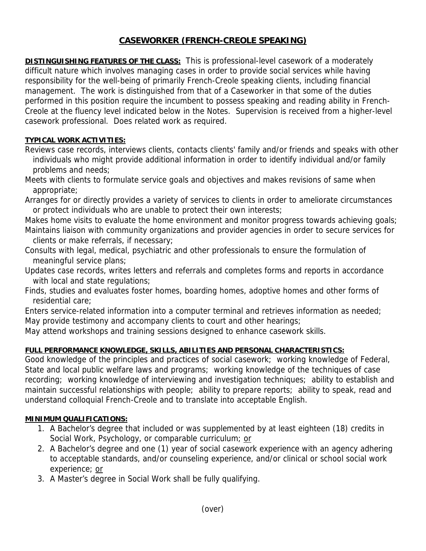# **CASEWORKER (FRENCH-CREOLE SPEAKING)**

**DISTINGUISHING FEATURES OF THE CLASS:** This is professional-level casework of a moderately difficult nature which involves managing cases in order to provide social services while having responsibility for the well-being of primarily French-Creole speaking clients, including financial management. The work is distinguished from that of a Caseworker in that some of the duties performed in this position require the incumbent to possess speaking and reading ability in French-Creole at the fluency level indicated below in the Notes. Supervision is received from a higher-level casework professional. Does related work as required.

## **TYPICAL WORK ACTIVITIES:**

- Reviews case records, interviews clients, contacts clients' family and/or friends and speaks with other individuals who might provide additional information in order to identify individual and/or family problems and needs;
- Meets with clients to formulate service goals and objectives and makes revisions of same when appropriate;
- Arranges for or directly provides a variety of services to clients in order to ameliorate circumstances or protect individuals who are unable to protect their own interests;
- Makes home visits to evaluate the home environment and monitor progress towards achieving goals; Maintains liaison with community organizations and provider agencies in order to secure services for clients or make referrals, if necessary;
- Consults with legal, medical, psychiatric and other professionals to ensure the formulation of meaningful service plans;
- Updates case records, writes letters and referrals and completes forms and reports in accordance with local and state regulations;
- Finds, studies and evaluates foster homes, boarding homes, adoptive homes and other forms of residential care;
- Enters service-related information into a computer terminal and retrieves information as needed; May provide testimony and accompany clients to court and other hearings;
- May attend workshops and training sessions designed to enhance casework skills.

### **FULL PERFORMANCE KNOWLEDGE, SKILLS, ABILITIES AND PERSONAL CHARACTERISTICS:**

Good knowledge of the principles and practices of social casework; working knowledge of Federal, State and local public welfare laws and programs; working knowledge of the techniques of case recording; working knowledge of interviewing and investigation techniques; ability to establish and maintain successful relationships with people; ability to prepare reports; ability to speak, read and understand colloquial French-Creole and to translate into acceptable English.

### **MINIMUM QUALIFICATIONS:**

- 1. A Bachelor's degree that included or was supplemented by at least eighteen (18) credits in Social Work, Psychology, or comparable curriculum; or
- 2. A Bachelor's degree and one (1) year of social casework experience with an agency adhering to acceptable standards, and/or counseling experience, and/or clinical or school social work experience; or
- 3. A Master's degree in Social Work shall be fully qualifying.